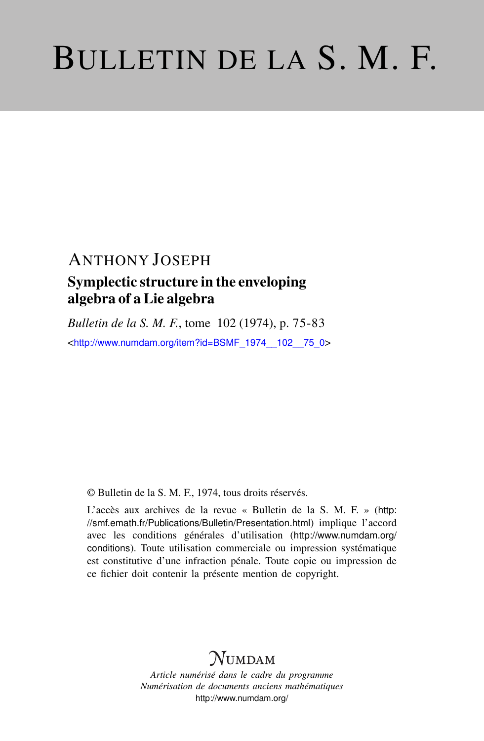# BULLETIN DE LA S. M. F.

## ANTHONY JOSEPH Symplectic structure in the enveloping algebra of a Lie algebra

*Bulletin de la S. M. F.*, tome 102 (1974), p. 75-83 <[http://www.numdam.org/item?id=BSMF\\_1974\\_\\_102\\_\\_75\\_0](http://www.numdam.org/item?id=BSMF_1974__102__75_0)>

© Bulletin de la S. M. F., 1974, tous droits réservés.

L'accès aux archives de la revue « Bulletin de la S. M. F. » ([http:](http://smf.emath.fr/Publications/Bulletin/Presentation.html) [//smf.emath.fr/Publications/Bulletin/Presentation.html](http://smf.emath.fr/Publications/Bulletin/Presentation.html)) implique l'accord avec les conditions générales d'utilisation ([http://www.numdam.org/](http://www.numdam.org/conditions) [conditions](http://www.numdam.org/conditions)). Toute utilisation commerciale ou impression systématique est constitutive d'une infraction pénale. Toute copie ou impression de ce fichier doit contenir la présente mention de copyright.

## NUMDAM

*Article numérisé dans le cadre du programme Numérisation de documents anciens mathématiques* <http://www.numdam.org/>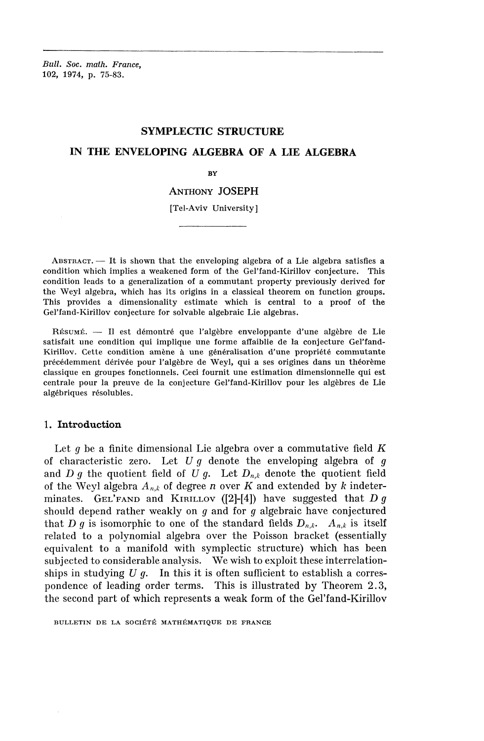*Bull, Soc. math. France,* 102, 1974, p. 75-83.

#### **SYMPLECTIC STRUCTURE**

### **IN THE ENVELOPING ALGEBRA OF A LIE ALGEBRA**

**BY**

#### ANTHONY JOSEPH

[Tel-Aviv University]

ABSTRACT. — It is shown that the enveloping algebra of a Lie algebra satisfies a condition which implies a weakened form of the Gel'fand-Kirillov conjecture. This condition leads to a generalization of a commutant property previously derived for the Weyl algebra, which has its origins in a classical theorem on function groups. This provides a dimensionality estimate which is central to a proof of the Gel'fand-Kirillov conjecture for solvable algebraic Lie algebras.

RÉSUMÉ. — Il est démontré que l'algèbre enveloppante d'une algèbre de Lie satisfait une condition qui implique une forme affaiblie de la conjecture Gel'fand-Kirillov. Cette condition amène à une généralisation d'une propriété commutante précédemment dérivée pour l'algèbre de Weyl, qui a ses origines dans un théorème classique en groupes fonctionnels. Ceci fournit une estimation dimensionnelle qui est centrale pour la preuve de la conjecture Gel'fand-Kirillov pour les algèbres de Lie algébriques résolubles.

#### 1. Introduction

Let *g* be a finite dimensional Lie algebra over a commutative field *K* of characteristic zero. Let *U g* denote the enveloping algebra of*<sup>g</sup>* and *D g* the quotient field of *U g*. Let  $D_{n,k}$  denote the quotient field of the Weyl algebra *An,k* of degree *n* over *K* and extended by *k* indeterminates. GEL'FAND and KIRILLOV ([2]-[4]) have suggested that *D g* should depend rather weakly on *g* and for *g* algebraic have conjectured that *D g* is isomorphic to one of the standard fields  $D_{n,k}$ .  $A_{n,k}$  is itself related to a polynomial algebra over the Poisson bracket (essentially equivalent to a manifold with symplectic structure) which has been subjected to considerable analysis. We wish to exploit these interrelationships in studying *U g.* In this it is often sufficient to establish a correspondence of leading order terms. This is illustrated by Theorem 2.3, the second part of which represents a weak form of the Gel'fand-Kirillov

BULLETIN DE LA SOCIÉTÉ MATHÉMATIQUE DE FRANCE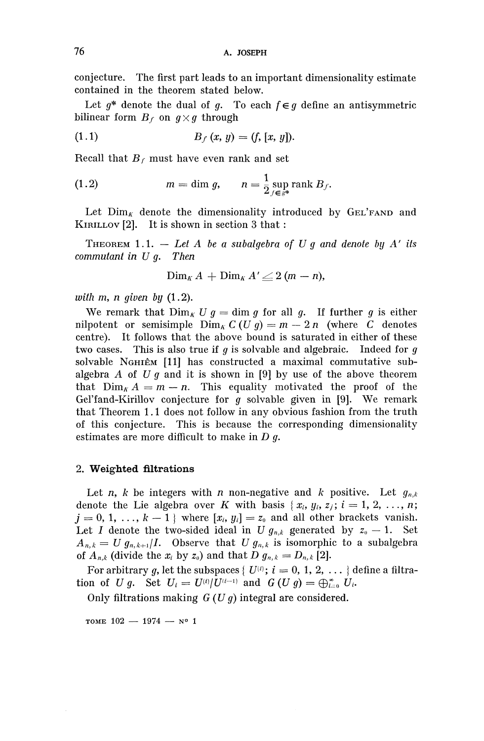conjecture. The first part leads to an important dimensionality estimate contained in the theorem stated below.

Let  $g^*$  denote the dual of  $g$ . To each  $f \in g$  define an antisymmetric bilinear form  $B_f$  on  $g \times g$  through

(1.1) 
$$
B_f(x, y) = (f, [x, y]).
$$

Recall that  $B_f$  must have even rank and set

(1.2) 
$$
m = \dim g, \qquad n = \frac{1}{2} \sup_{f \in s^*} \text{rank } B_f.
$$

Let  $\text{Dim}_{\kappa}$  denote the dimensionality introduced by GEL'FAND and KIRILLOV [2]. It is shown in section 3 that :

THEOREM 1.1. — *Let A be a subalgebra of U g and denote by* A' *its commutant in U g. Then*

 $\lim_{K} A + \lim_{K} A' \geq 2 (m - n),$ 

*with m, n given by* (1.2).

We remark that  $\lim_{K} U g = \dim g$  for all g. If further g is either nilpotent or semisimple  $\lim_{k} C(U g) = m - 2n$  (where C denotes centre). It follows that the above bound is saturated in either of these two cases. This is also true if *g* is solvable and algebraic. Indeed for*<sup>g</sup>* solvable NGHIEM [11] has constructed a maximal commutative subalgebra A of *U g* and it is shown in [9] by use of the above theorem that  $\lim_{k} A = m - n$ . This equality motivated the proof of the Gel'fand-Kirillov conjecture for *g* solvable given in [9]. We remark that Theorem 1.1 does not follow in any obvious fashion from the truth of this conjecture. This is because the corresponding dimensionality estimates are more difficult to make in *D g.*

#### *2.* **Weighted filtrations**

Let *n, k* be integers with *n* non-negative and *k* positive. Let *gn,k* denote the Lie algebra over *K* with basis { $x_i$ ,  $y_i$ ,  $z_j$ ;  $i = 1, 2, ..., n$ ;  $j = 0, 1, \ldots, k - 1$  } where  $[x_i, y_i] = z_0$  and all other brackets vanish. Let *I* denote the two-sided ideal in *U*  $g_{n,k}$  generated by  $z_0 - 1$ . Set  $A_{n,k} = U g_{n,k+1}/I$ . Observe that *U*  $g_{n,k}$  is isomorphic to a subalgebra of  $A_{n,k}$  (divide the  $x_i$  by  $z_0$ ) and that  $D g_{n,k} = D_{n,k}$  [2].

For arbitrary g, let the subspaces {  $U^{(i)}$ ;  $i = 0, 1, 2, ...$  } define a filtration of *U g.* Set  $U_i = U^{(i)}/U^{(i-1)}$  and  $G (U g) = \bigoplus_{i=0}^{\infty} U_i$ .

Only filtrations making *G (U g)* integral are considered.

 $TOME$   $102 - 1974 - N^o$  1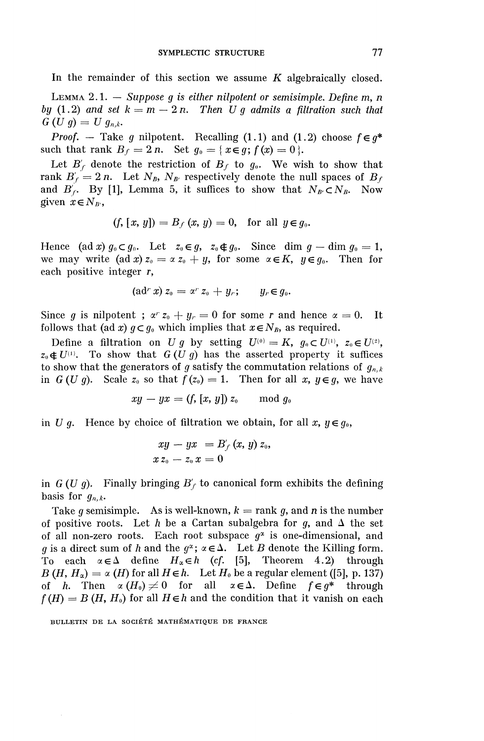In the remainder of this section we assume *K* algebraically closed.

LEMMA 2.1. — *Suppose g is either nilpotent or semisimple. Define* m, *n by* (1.2) and set  $k = m - 2n$ . Then U q admits a filtration such that  $G(U g) = U g_{n,k}.$ 

*Proof.* — Take g nilpotent. Recalling (1.1) and (1.2) choose  $f \in g^*$ such that rank  $B_f = 2n$ . Set  $q_0 = \{x \in q; f(x) = 0\}$ .

Let  $B'_{f}$  denote the restriction of  $B_{f}$  to  $g_{0}$ . We wish to show that rank  $B'_f = 2n$ . Let  $N_B$ ,  $N_{B'}$  respectively denote the null spaces of  $B_f$ and  $B'_f$ . By [1], Lemma 5, it suffices to show that  $N_B \subset N_B$ . Now given  $x \in N_{B'}$ ,

$$
(f, [x, y]) = B_f(x, y) = 0
$$
, for all  $y \in g_0$ .

Hence (ad x)  $g_0 \subset g_0$ . Let  $z_0 \in g$ ,  $z_0 \notin g_0$ . Since dim  $g$  — dim  $g_0 = 1$ , we may write  $(\text{ad } x) z_0 = \alpha z_0 + y$ , for some  $\alpha \in K$ ,  $y \in q_0$ . Then for each positive integer r,

$$
(\text{ad}^r x) z_0 = \alpha^r z_0 + y_r; \qquad y_r \in g_0.
$$

Since g is nilpotent ;  $\alpha^r z_0 + y_r = 0$  for some r and hence  $\alpha = 0$ . It follows that (ad x)  $q \subset q_0$  which implies that  $x \in N_B$ , as required.

Define a filtration on *U g* by setting  $U^{(0)} = K$ ,  $g_0 \subset U^{(1)}$ ,  $z_0 \in U^{(2)}$ ,  $z_0 \notin U^{(1)}$ . To show that  $G (U g)$  has the asserted property it suffices to show that the generators of *g* satisfy the commutation relations of *gn,k* in *G* (*U g*). Scale  $z_0$  so that  $f(z_0) = 1$ . Then for all *x*,  $y \in g$ , we have

$$
xy - yx = (f, [x, y]) z_0 \mod g_0
$$

in U q. Hence by choice of filtration we obtain, for all  $x, y \in q_0$ ,

$$
xy - yx = B'_f(x, y) z_0,
$$
  
\n
$$
x z_0 - z_0 x = 0
$$

in  $G(U g)$ . Finally bringing  $B'_{f}$  to canonical form exhibits the defining basis for  $g_{n,k}$ .

Take g semisimple. As is well-known,  $k = \text{rank } g$ , and n is the number of positive roots. Let *h* be a Cartan subalgebra for  $g$ , and  $\Delta$  the set of all non-zero roots. Each root subspace  $g^2$  is one-dimensional, and *g* is a direct sum of *h* and the  $q^2$ ;  $\alpha \in \Delta$ . Let *B* denote the Killing form. To each  $\alpha \in \Delta$  define  $H_{\alpha} \in h$  (cf. [5], Theorem 4.2) through  $B(H, H_{\alpha}) = \alpha(H)$  for all  $H \in h$ . Let  $H_0$  be a regular element ([5], p. 137) of *h*. Then  $\alpha(H_0) \neq 0$  for all  $\alpha \in \Delta$ . Define  $f \in g^*$  through  $f(H) = B(H, H_0)$  for all  $H \in h$  and the condition that it vanish on each

BULLETIN DE LA SOCIÉTÉ MATHÉMATIQUE DE FRANCE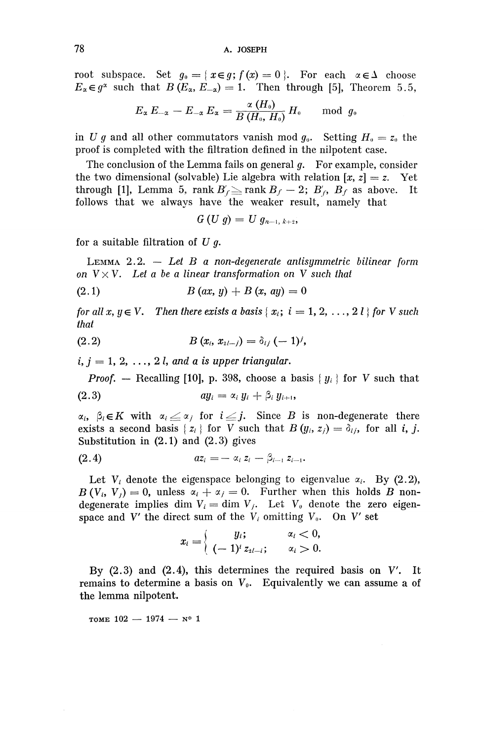root subspace. Set  $g_0 = \{x \in g; f(x) = 0 \}$ . For each  $\alpha \in \Delta$  choose  $E_{\alpha} \in q^{\alpha}$  such that  $B(E_{\alpha}, E_{-\alpha}) = 1$ . Then through [5], Theorem 5.5,

$$
E_{\alpha}\,E_{-\alpha}-E_{-\alpha}\,E_{\alpha}=\frac{\alpha\,(H_{\scriptscriptstyle 0})}{B\,(H_{\scriptscriptstyle 0},\,H_{\scriptscriptstyle 0})}\,H_{\scriptscriptstyle 0}\quad\mod\,g_{\scriptscriptstyle 0}
$$

in U g and all other commutators vanish mod  $g_{\theta}$ . Setting  $H_{\theta} = z_{\theta}$  the proof is completed with the filtration defined in the nilpotent case.

The conclusion of the Lemma fails on general *g.* For example, consider the two dimensional (solvable) Lie algebra with relation  $[x, z] = z$ . Yet through [1], Lemma 5, rank  $B'_r \ge$  rank  $B_f - 2$ ;  $B'_r$ ,  $B_f$  as above. It follows that we always have the weaker result, namely that

$$
G(U g) = U g_{n-1, k+2},
$$

for a suitable filtration of *U g.*

LEMMA 2.2. -— *Let B a non-degenerate antisymmetric bilinear form on*  $V \times V$ *. Let a be a linear transformation on* V such that

(2.1)  $B(ax, y) + B(x, ay) = 0$ 

*for all x, y*  $\in$  *V. Then there exists a basis* {  $x_i$ ;  $i = 1, 2, ..., 2$  *l* } *for V such that*

(2.2) 
$$
B(x_i, x_{2l-j}) = \delta_{ij} (-1)^j,
$$

 $i, j = 1, 2, \ldots, 2$  *l, and a is upper triangular.* 

*Proof.* — Recalling [10], p. 398, choose a basis  ${y_i}$  for V such that

$$
(2.3) \t\t\t\t\t a y_i = \alpha_i y_i + \beta_i y_{i+1},
$$

 $\alpha_i$ ,  $\beta_i \in K$  with  $\alpha_i \leq \alpha_j$  for  $i \leq j$ . Since *B* is non-degenerate there exists a second basis { $z_i$ } for V such that  $B(y_i, z_j) = \delta_{ij}$ , for all i, j. Substitution in  $(2.1)$  and  $(2.3)$  gives

(2.4) 
$$
az_i = -\alpha_i z_i - \beta_{i-1} z_{i-1}.
$$

Let  $V_i$  denote the eigenspace belonging to eigenvalue  $\alpha_i$ . By (2.2),  $B(V_i, V_j) = 0$ , unless  $\alpha_i + \alpha_j = 0$ . Further when this holds *B* nondegenerate implies dim  $V_i = \dim V_i$ . Let  $V_0$  denote the zero eigenspace and  $V'$  the direct sum of the  $V_i$  omitting  $V_0$ . On  $V'$  set

$$
x_i = \begin{cases} y_i; & \alpha_i < 0, \\ (-1)^i z_{2i-i}; & \alpha_i > 0. \end{cases}
$$

By  $(2.3)$  and  $(2.4)$ , this determines the required basis on V'. It remains to determine a basis on  $V_0$ . Equivalently we can assume a of the lemma nilpotent.

TOME  $102 - 1974 - N^o 1$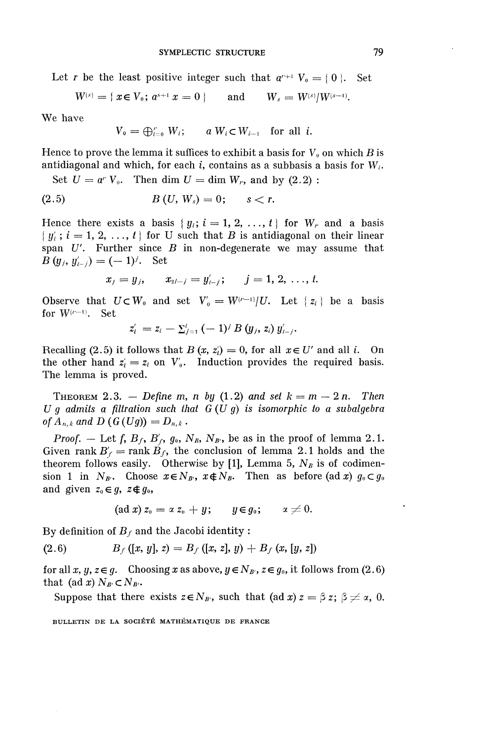Let *r* be the least positive integer such that  $a^{r+1}$   $V_0 = \{ 0 \}$ . Set

$$
W^{(s)} = \{ x \in V_0; \, a^{s+1} \, x = 0 \, \} \qquad \text{and} \qquad W_s = W^{(s)} / W^{(s-1)}.
$$

**We have**

$$
V_0 = \bigoplus_{i=0}^r W_i; \qquad a W_i \subset W_{i-1} \quad \text{for all } i.
$$

Hence to prove the lemma it suffices to exhibit a basis for  $V_0$  on which  $B$  is antidiagonal and which, for each *i,* contains as a subbasis a basis for W;.

Set  $U = a^r V_0$ . Then dim  $U = \dim W_r$ , and by  $(2.2)$ :

(2.5) 
$$
B(U, W_s) = 0;
$$
  $s < r.$ 

Hence there exists a basis  $\{y_i; i = 1, 2, ..., t\}$  for  $W_r$  and a basis  ${y_i; i = 1, 2, ..., t}$  for U such that B is antidiagonal on their linear span  $U'$ . Further since  $B$  in non-degenerate we may assume that *B*  $(y_i, y'_{i-i}) = (-1)^j$ . Set

$$
x_j = y_j
$$
,  $x_{2l-j} = y'_{l-j}$ ;  $j = 1, 2, ..., t$ .

Observe that  $U \subset W_0$  and set  $V_0 = W^{(r-1)}/U$ . Let  $\{ z_i \}$  be a basis for  $W^{(r-1)}$ . Set  $=z_i - \Sigma_{j=1}^t \left(- \ 1\right)$ 

$$
z'_{i} = z_{i} - \sum_{j=1}^{i} (-1)^{j} B(y_{j}, z_{i}) y'_{i-j}.
$$

Recalling (2.5) it follows that  $B(x, z_i) = 0$ , for all  $x \in U'$  and all i. On the other hand  $z_i = z_i$  on  $V'_0$ . Induction provides the required basis. The lemma is proved.

THEOREM 2.3. — Define m, n by  $(1.2)$  and set  $k = m - 2n$ . Then *U g admits a filtration such that G (U g) is isomorphic to a subalgebra of*  $A_{n,k}$  and  $D(G(Ug)) = D_{n,k}$ .

*Proof.* – Let f,  $B_f$ ,  $B'_f$ ,  $g_0$ ,  $N_B$ ,  $N_{B'}$ , be as in the proof of lemma 2.1. Given rank  $B'_f$  = rank  $B_f$ , the conclusion of lemma 2.1 holds and the theorem follows easily. Otherwise by [1], Lemma 5,  $N_B$  is of codimension 1 in  $N_{B'}$ . Choose  $x \in N_{B'}$ ,  $x \notin N_B$ . Then as before (ad x)  $g_0 \subset g_0$ and given  $z_0 \in g$ ,  $z \notin g_0$ ,

$$
(\text{ad }x) z_0 = \alpha z_0 + y; \qquad y \in g_0; \qquad \alpha \neq 0.
$$

By definition of  $B_f$  and the Jacobi identity :

(2.6) 
$$
B_f([x, y], z) = B_f([x, z], y) + B_f(x, [y, z])
$$

for all x, y,  $z \in g$ . Choosing x as above,  $y \in N_B$ ,  $z \in g_0$ , it follows from (2.6) that (ad x)  $N_{B} \subset N_{B}$ .

Suppose that there exists  $z \in N_B$ , such that (ad x)  $z = \beta z$ ;  $\beta \neq \alpha$ , 0.

**BULLETIN DE LA SOCIETE MATHEMATIQUE DE FRANCE**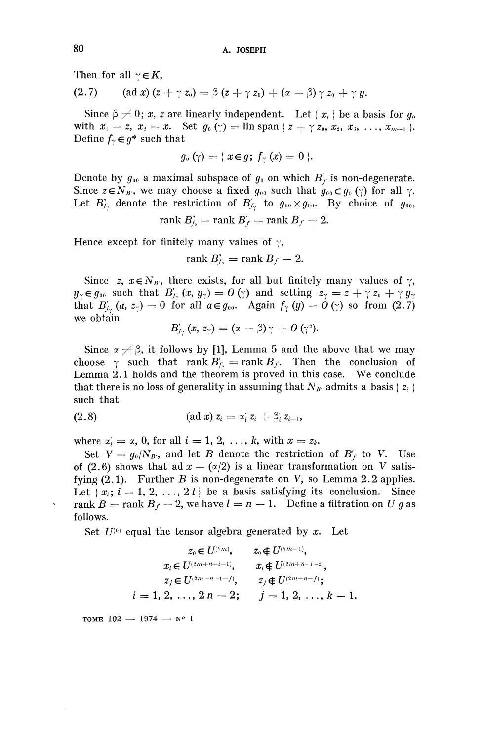Then for all  $\gamma \in K$ ,

Then for all 
$$
\gamma \in K
$$
,  
(2.7) (ad x)  $(z + \gamma z_0) = \beta (z + \gamma z_0) + (\alpha - \beta) \gamma z_0 + \gamma y$ .

Since  $\beta \neq 0$ ; x, z are linearly independent. Let  $\{x_i\}$  be a basis for  $g_0$ with  $x_1 = z, x_2 = x.$  Set  $g_0(\gamma) = \lim \text{span} \{ z + \gamma z_0, x_2, x_3, \ldots, x_{m-1} \}.$ Define  $f_\gamma \in g^*$  such that

$$
g_{\sigma}(\gamma) = \{x \in g; f_{\gamma}(x) = 0\}.
$$

Denote by  $g_{00}$  a maximal subspace of  $g_0$  on which  $B'_f$  is non-degenerate. Since  $z \in N_B$ , we may choose a fixed  $g_{00}$  such that  $g_{00} \subset g_0(\gamma)$  for all  $\gamma$ . Let  $B''_{f\gamma}$  denote the restriction of  $B'_{f\gamma}$  to  $g_{00}\times g_{00}$ . By choice of  $g_{00}$ ,

$$
rank B'_{f_0} = rank B'_f = rank B_f - 2.
$$

Hence except for finitely many values of  $\gamma$ ,

$$
\operatorname{rank} B''_{f_{\gamma}}=\operatorname{rank} B_f-2.
$$

Since z,  $x \in N_B$ , there exists, for all but finitely many values of  $\gamma$ ,  $y_\gamma \in g_{00}$  such that  $B'_{f_\gamma} (x, y_\gamma) = 0$  (y) and setting  $z_\gamma = z + \gamma z_0 + \gamma y_\gamma$ that  $B'_{f}$ ,  $(a, z_{\gamma})=0$  for all  $a \in g_{00}$ . Again  $f_{\gamma}(y)=0$  ( $\gamma$ ) so from (2.7) we obtain

$$
B'_{f_{\gamma}}(x, z_{\gamma}) = (x - \beta)\gamma + O(\gamma^2).
$$

Since  $\alpha \neq \beta$ , it follows by [1], Lemma 5 and the above that we may choose  $\gamma$  such that rank  $B'_{f_{\gamma}} = \text{rank } B_{f}$ . Then the conclusion of Lemma 2.1 holds and the theorem is proved in this case. We conclude that there is no loss of generality in assuming that  $N_{B'}$  admits a basis { $z_i$  } such that

(2.8) (ad x) 
$$
z_i = \alpha'_i z_i + \beta'_i z_{i+1}
$$
,

where  $\alpha'_i = \alpha$ , 0, for all  $i = 1, 2, \ldots, k$ , with  $x = z_k$ .

Set  $V = g_0/N_{B'}$ , and let *B* denote the restriction of  $B'_f$  to V. Use of (2.6) shows that ad  $x - (x/2)$  is a linear transformation on V satisfying (2.1). Further *B* is non-degenerate on *V*, so Lemma 2.2 applies. Let  ${x_i; i = 1, 2, ..., 2l}$  be a basis satisfying its conclusion. Since rank  $B = \text{rank } B_f - 2$ , we have  $l = n - 1$ . Define a filtration on *U g* as follows.

Set *U<sup>101</sup>* equal the tensor algebra generated by *x.* Let

$$
z_0 \in U^{(4m)}, \qquad z_0 \notin U^{(4m-1)},
$$
  
\n
$$
x_i \in U^{(2m+n-i-1)}, \qquad x_i \notin U^{(2m+n-i-2)},
$$
  
\n
$$
z_j \in U^{(2m-n+1-j)}, \qquad z_j \notin U^{(2m-n-j)};
$$
  
\n
$$
i = 1, 2, \ldots, 2n - 2; \qquad j = 1, 2, \ldots, k - 1.
$$

TOME  $102 - 1974 - N^0 1$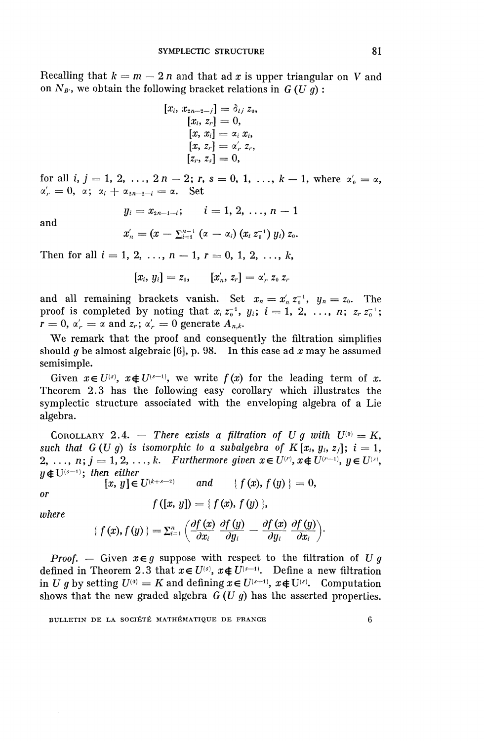Recalling that  $k = m - 2n$  and that ad x is upper triangular on V and on  $N_{B}$ <sup>*'*</sup>, we obtain the following bracket relations in  $G(U g)$ :

$$
\begin{array}{ll} [x_i,\,x_{2n-2-j}]=\delta_{ij}\,z_0,\\ [x_i,\,z_r]=0,\\ [x,\,x_i]=\alpha_i\,x_i,\\ [x,\,z_r]=\alpha'_r\,z_r,\\ [z_r,\,z_s]=0,\end{array}
$$

for all *i*,  $j = 1, 2, ..., 2n - 2; r, s = 0, 1, ..., k - 1$ , where  $\alpha'_0 = \alpha$ ,  $\alpha'_r = 0$ ,  $\alpha$ ;  $\alpha_i + \alpha_{2n-2-i} = \alpha$ . Set

and

$$
y_i = x_{2n-1-i};
$$
  $i = 1, 2, ..., n-1$ 

$$
y_i = x_{2n-1-i}, \qquad i = 1, 2, ..., n-1
$$
  

$$
x'_n = (x - \sum_{i=1}^{n-1} (x - \alpha_i) (x_i z_0^{-1}) y_i) z_0.
$$

Then for all  $i = 1, 2, ..., n - 1, r = 0, 1, 2, ..., k$ ,

$$
[x_i, y_i] = z_0, \qquad [x'_n, z_r] = \alpha'_r, z_0, z_r
$$

and all remaining brackets vanish. Set  $x_n = x'_n z_0^{-1}$ ,  $y_n = z_0$ . The proof is completed by noting that  $x_i z_0^{-1}$ ,  $y_i$ ;  $i = 1, 2, ..., n$ ;  $z_r z_0^{-1}$ ;  $r = 0$ ,  $\alpha'_{r} = \alpha$  and  $z_{r}$ ;  $\alpha'_{r} = 0$  generate  $A_{n,k}$ .

We remark that the proof and consequently the filtration simplifies should *g* be almost algebraic [6], p. 98. In this case ad *x* may be assumed semisimple.

Given  $x \in U^{(s)}$ ,  $x \notin U^{(s-1)}$ , we write  $f(x)$  for the leading term of x. Theorem 2.3 has the following easy corollary which illustrates the symplectic structure associated with the enveloping algebra of a Lie algebra.

COROLLARY 2.4. – There exists a filtration of U g with  $U^{(0)} = K$ , *such that G (U g) is isomorphic to a subalgebra of K [x<sub>i</sub>, y<sub>i</sub>, z<sub>i</sub>];*  $i = 1$ *,* 2, ...,  $n; j = 1, 2, ..., k$ . Furthermore given  $x \in U^{(r)}$ ,  $x \notin U^{(r-1)}$ ,  $y \in U^{(s)}$ ,  $y \notin U^{(s-1)}$ ; then either

*n* euner<br>[x, y]  $\in$   $U^{(k+s-1)}$ *and*  $\{ f(x), f(y) \} = 0,$ *or*

*where*

$$
f([x, y]) = \{ f(x), f(y) \},
$$

$$
f([x, y]) = \{ f(x), f(y) \},
$$

$$
\{ f(x), f(y) \} = \sum_{i=1}^{n} \left( \frac{\partial f(x)}{\partial x_i} \frac{\partial f(y)}{\partial y_i} - \frac{\partial f(x)}{\partial y_i} \frac{\partial f(y)}{\partial x_i} \right).
$$

*Proof.* — Given  $x \in g$  suppose with respect to the filtration of U g defined in Theorem 2.3 that  $x \in U^{(s)}$ ,  $x \notin U^{(s-1)}$ . Define a new filtration in *U g* by setting  $U^{(0)} = K$  and defining  $x \in U^{(s+1)}$ ,  $x \notin U^{(s)}$ . Computation shows that the new graded algebra *G (U g)* has the asserted properties.

BULLETIN DE LA SOCIÉTÉ MATHÉMATIQUE DE FRANCE 6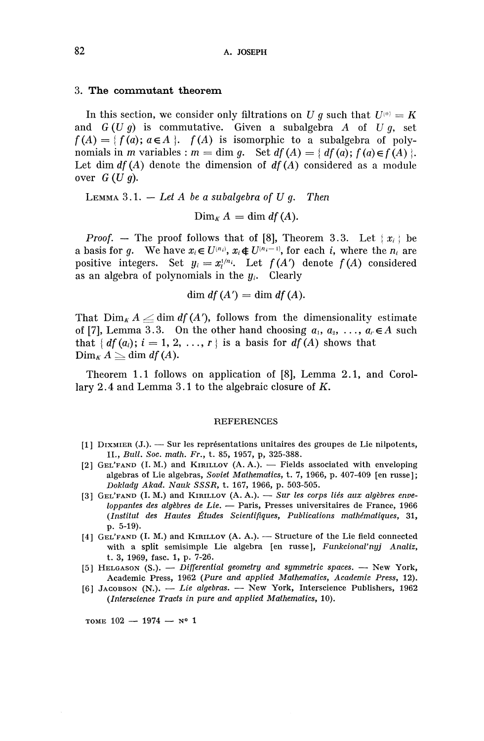#### **3. The commutant theorem**

In this section, we consider only filtrations on U g such that  $U^{(0)} = K$ and  $G(Ug)$  is commutative. Given a subalgebra A of  $Ug$ , set  $f(A) = \{ f(a); a \in A \}$ .  $f(A)$  is isomorphic to a subalgebra of polynomials in *m* variables :  $m = \dim g$ . Set  $df(A) = \{ df(a) ; f(a) \in f(A) \}.$ Let dim  $df(A)$  denote the dimension of  $df(A)$  considered as a module over *G(Ug).*

LEMMA 3.1. — *Let A be a subalgebra of U g. Then*

$$
\text{Dim}_K A = \dim df(A).
$$

*Proof.* — The proof follows that of [8], Theorem 3.3. Let  $\{x_i\}$  be a basis for *g*. We have  $x_i \in U^{(n_i)}$ ,  $x_i \notin U^{(n_{i-1})}$ , for each *i*, where the  $n_i$  are positive integers. Set  $y_i = x^{1/n_i}$ . Let  $f(A')$  denote  $f(A)$  considered as an algebra of polynomials in the  $y_i$ . Clearly

dim  $df(A') = \dim df(A)$ .

That  $\lim_{k} A \angle \dim df(A')$ , follows from the dimensionality estimate of [7], Lemma 3.3. On the other hand choosing  $a_1, a_2, \ldots, a_r \in A$  such that  $\{ df(a_i); i = 1, 2, \ldots, r \}$  is a basis for  $df(A)$  shows that  $\lim_{K} A \geq \dim df(A).$ 

Theorem 1.1 follows on application of [8], Lemma 2.1, and Corollary 2.4 and Lemma 3.1 to the algebraic closure of *K,*

#### **REFERENCES**

- [1] DIXMIER (J.). Sur les representations unitaires des groupes de Lie nilpotents, II., *Bull. Soc. math. Fr.,* t. 85, 1957, p, 325-388.
- [2] GEI/FAND (I.M.) and KIRILLOV (A. A.). Fields associated with enveloping algebras of Lie algebras. *Soviet Mathematics,* t. 7, 1966, p. 407-409 [en russe]; *Doklady Akad. Nauk SSSR,* t. 167, 1966, p. 503-505.
- [3] GEI/FAND (I. M.) and KIRILLOV (A. A.). — *Sur les corps lies aux algebres enueloppantes des algebres de Lie. —* Paris, Presses universitaires de France, 1966 *(Institut des Hautes Etudes Scientiflques, Publications mathematiques,* 31, p. 5-19).
- [4] GEL'FAND (I. M.) and KIRILLOV (A. A.). Structure of the Lie field connected with a split semisimple Lie algebra [en russe], *Funkcional'nyj Analiz,* t. 3, 1969, fasc. 1, p. 7-26.
- [5] HELGASON (S.). — *Differential geometry and symmetric spaces.* New York, Academic Press, 1962 *(Pure and applied Mathematics, Academic Press,* 12).
- [6] JACOBSON (N.). — *Lie algebras.* New York, Interscience Publishers, 1962 *(Interscience Tracts in pure and applied Mathematics,* 10).

TOME  $102 - 1974 - N^o 1$